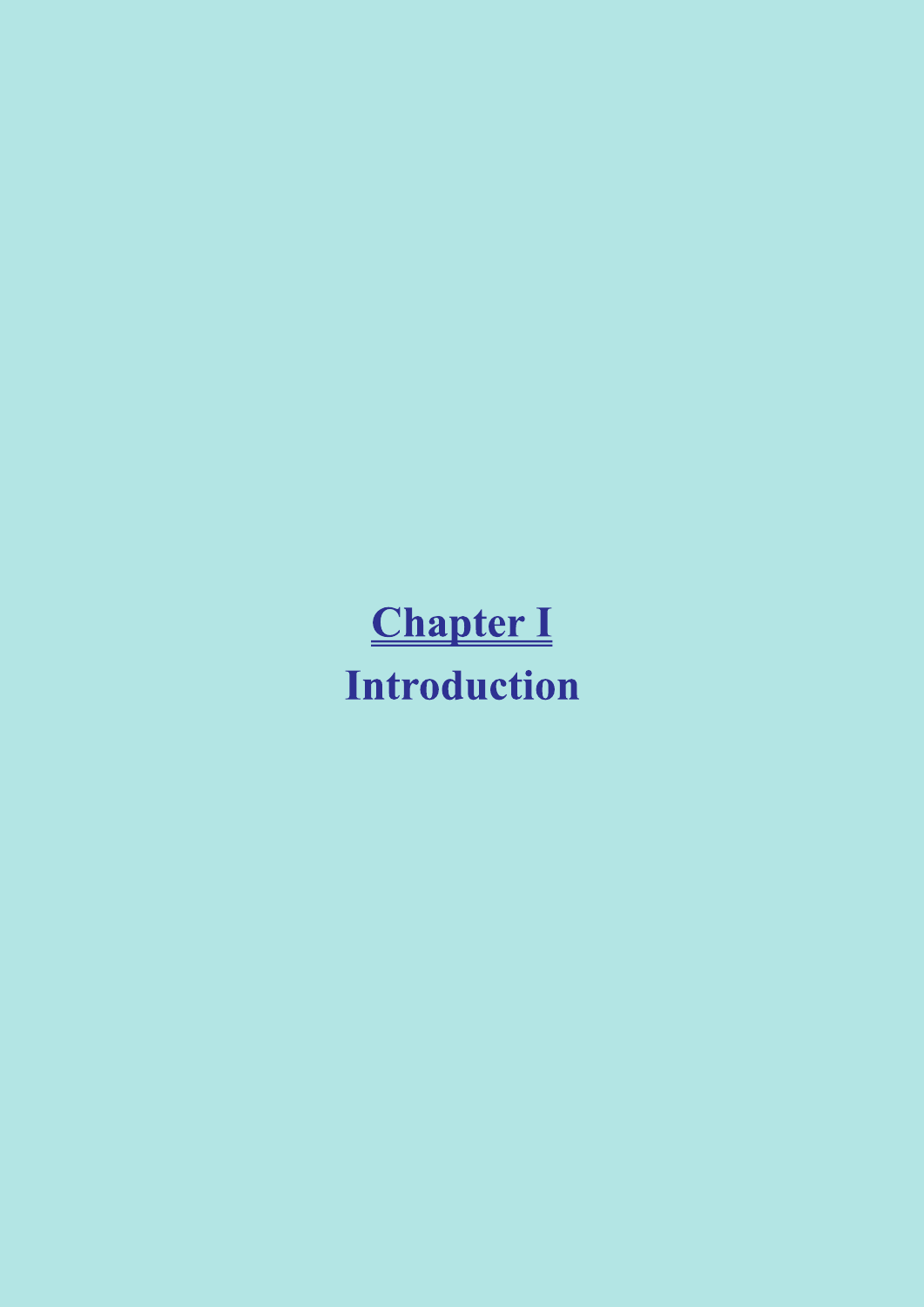# **Chapter I Introduction**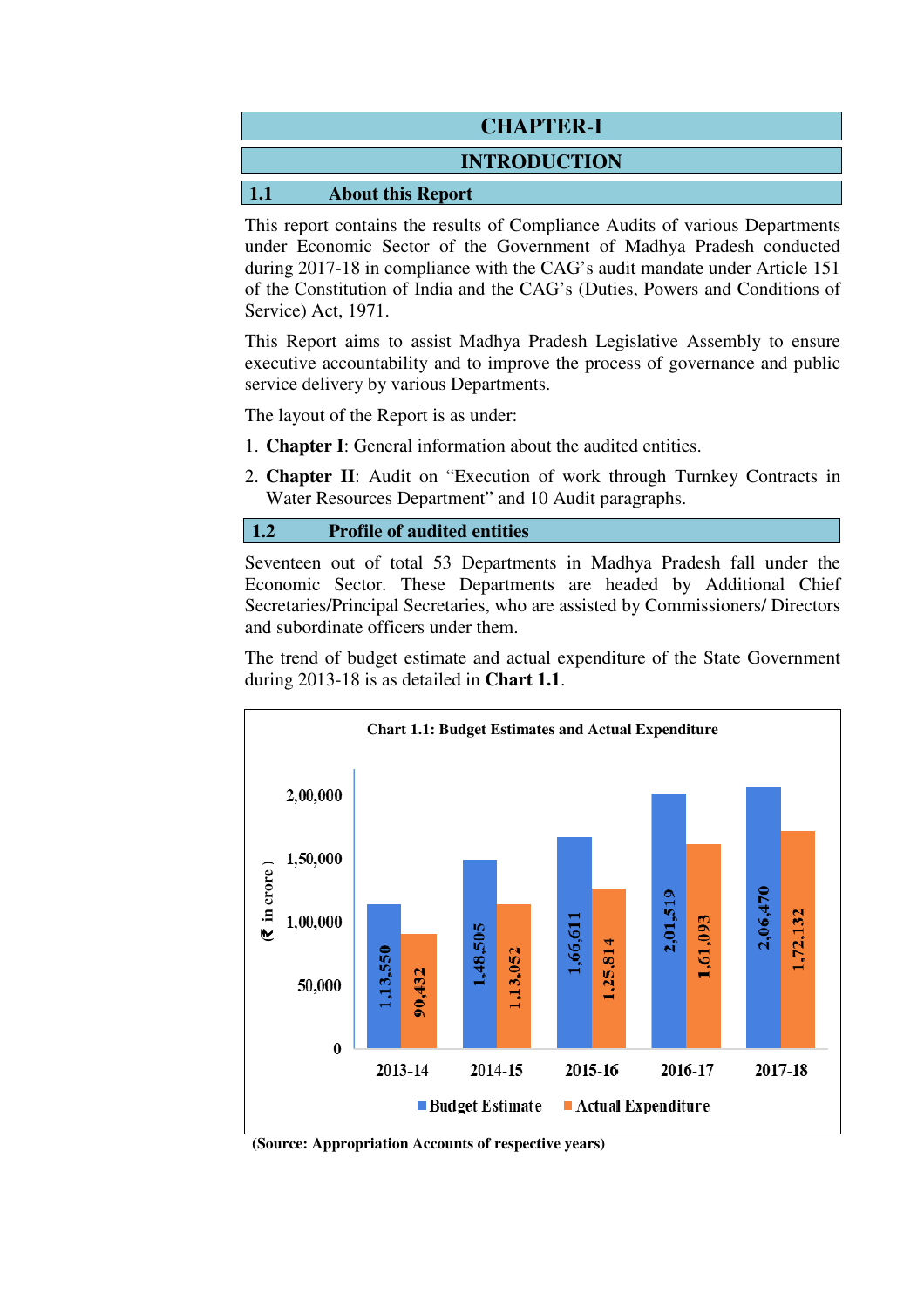| <b>CHAPTER-I</b> |                          |  |  |
|------------------|--------------------------|--|--|
|                  | <b>INTRODUCTION</b>      |  |  |
| $\vert$ 1.       | <b>About this Report</b> |  |  |

This report contains the results of Compliance Audits of various Departments under Economic Sector of the Government of Madhya Pradesh conducted during 2017-18 in compliance with the CAG's audit mandate under Article 151 of the Constitution of India and the CAG's (Duties, Powers and Conditions of Service) Act, 1971.

This Report aims to assist Madhya Pradesh Legislative Assembly to ensure executive accountability and to improve the process of governance and public service delivery by various Departments.

The layout of the Report is as under:

- 1. **Chapter I**: General information about the audited entities.
- 2. **Chapter II**: Audit on "Execution of work through Turnkey Contracts in Water Resources Department" and 10 Audit paragraphs.

#### **1.2 Profile of audited entities**

Seventeen out of total 53 Departments in Madhya Pradesh fall under the Economic Sector. These Departments are headed by Additional Chief Secretaries/Principal Secretaries, who are assisted by Commissioners/ Directors and subordinate officers under them.

The trend of budget estimate and actual expenditure of the State Government during 2013-18 is as detailed in **Chart 1.1**.



**(Source: Appropriation Accounts of respective years)**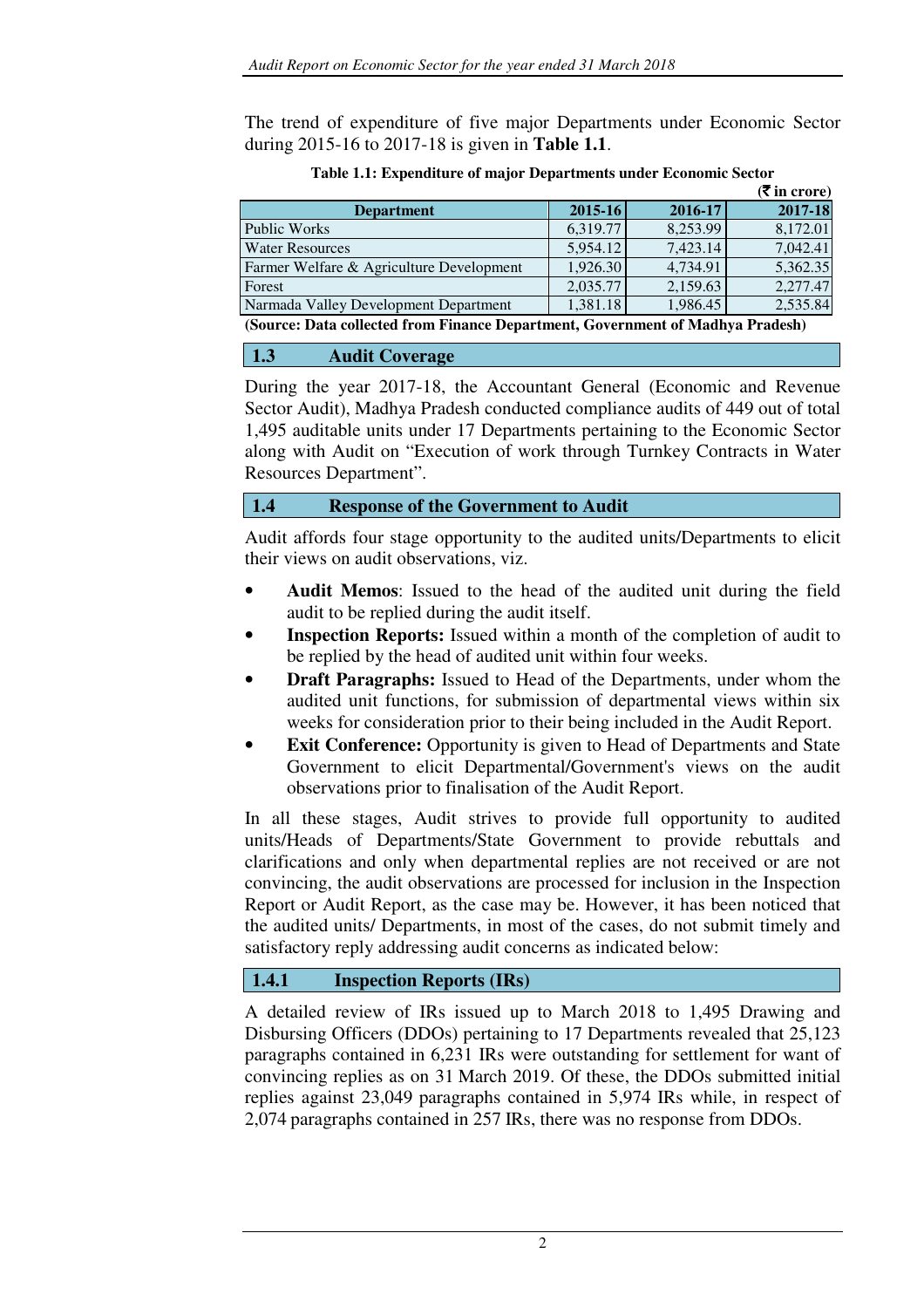The trend of expenditure of five major Departments under Economic Sector during 2015-16 to 2017-18 is given in **Table 1.1**.

|                                                                                |             |             | $($ $\overline{\mathbf{\mathsf{F}}}$ in crore) |  |  |
|--------------------------------------------------------------------------------|-------------|-------------|------------------------------------------------|--|--|
| <b>Department</b>                                                              | $2015 - 16$ | $2016 - 17$ | 2017-18                                        |  |  |
| Public Works                                                                   | 6.319.77    | 8,253.99    | 8,172.01                                       |  |  |
| <b>Water Resources</b>                                                         | 5.954.12    | 7.423.14    | 7,042.41                                       |  |  |
| Farmer Welfare & Agriculture Development                                       | 1.926.30    | 4,734.91    | 5,362.35                                       |  |  |
| Forest                                                                         | 2,035.77    | 2,159.63    | 2,277.47                                       |  |  |
| Narmada Valley Development Department                                          | 1,381.18    | 1,986.45    | 2,535.84                                       |  |  |
| (Source: Data collected from Finance Department, Covernment of Madhya Pradech) |             |             |                                                |  |  |

**Table 1.1: Expenditure of major Departments under Economic Sector** 

**(Source: Data collected from Finance Department, Government of Madhya Pradesh)** 

### **1.3 Audit Coverage**

During the year 2017-18, the Accountant General (Economic and Revenue Sector Audit), Madhya Pradesh conducted compliance audits of 449 out of total 1,495 auditable units under 17 Departments pertaining to the Economic Sector along with Audit on "Execution of work through Turnkey Contracts in Water Resources Department".

### **1.4 Response of the Government to Audit**

Audit affords four stage opportunity to the audited units/Departments to elicit their views on audit observations, viz.

- • **Audit Memos**: Issued to the head of the audited unit during the field audit to be replied during the audit itself.
- • **Inspection Reports:** Issued within a month of the completion of audit to be replied by the head of audited unit within four weeks.
- • **Draft Paragraphs:** Issued to Head of the Departments, under whom the audited unit functions, for submission of departmental views within six weeks for consideration prior to their being included in the Audit Report.
- **Exit Conference:** Opportunity is given to Head of Departments and State Government to elicit Departmental/Government's views on the audit observations prior to finalisation of the Audit Report.

In all these stages, Audit strives to provide full opportunity to audited units/Heads of Departments/State Government to provide rebuttals and clarifications and only when departmental replies are not received or are not convincing, the audit observations are processed for inclusion in the Inspection Report or Audit Report, as the case may be. However, it has been noticed that the audited units/ Departments, in most of the cases, do not submit timely and satisfactory reply addressing audit concerns as indicated below:

# **1.4.1 Inspection Reports (IRs)**

A detailed review of IRs issued up to March 2018 to 1,495 Drawing and Disbursing Officers (DDOs) pertaining to 17 Departments revealed that 25,123 paragraphs contained in 6,231 IRs were outstanding for settlement for want of convincing replies as on 31 March 2019. Of these, the DDOs submitted initial replies against 23,049 paragraphs contained in 5,974 IRs while, in respect of 2,074 paragraphs contained in 257 IRs, there was no response from DDOs.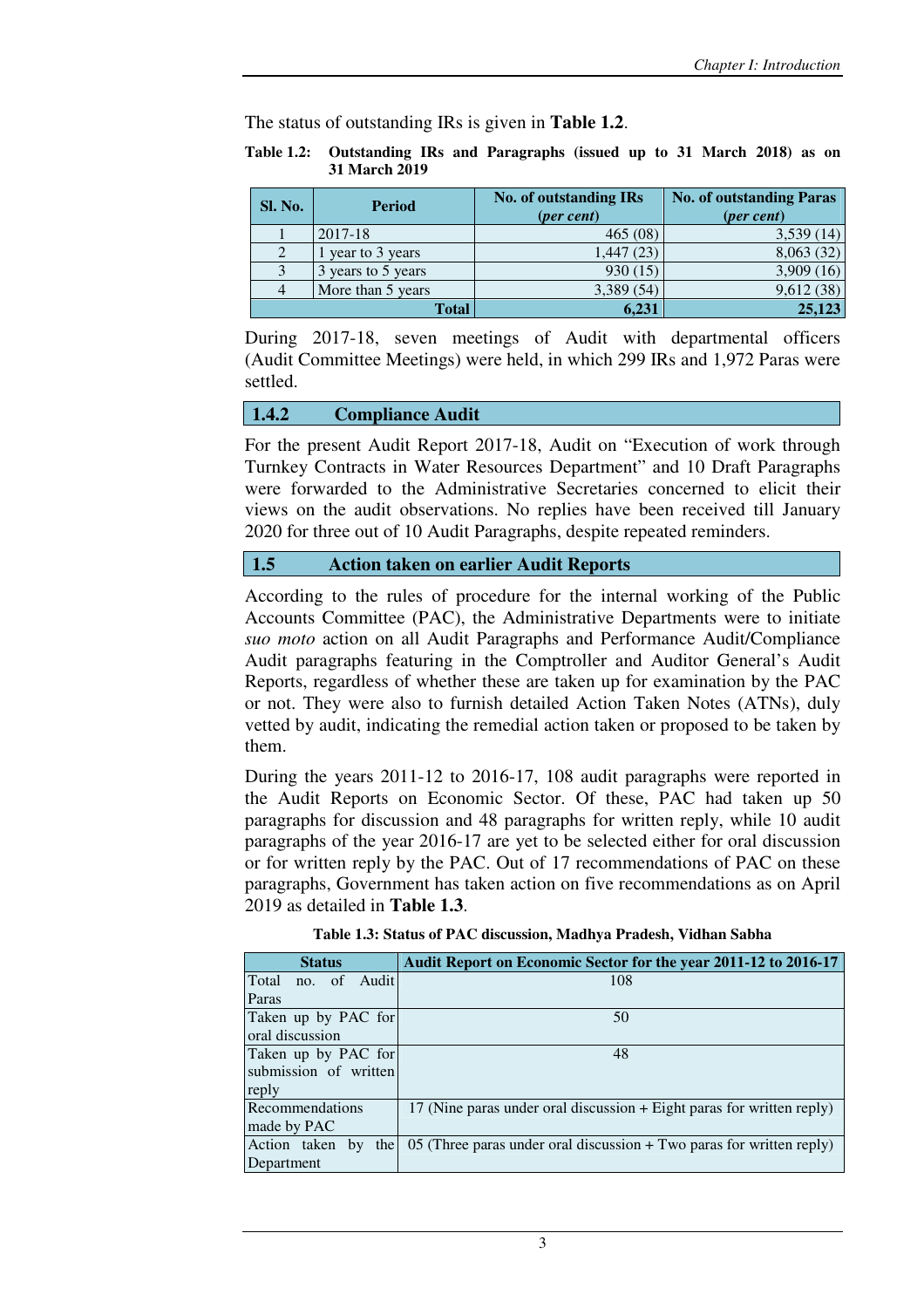The status of outstanding IRs is given in **Table 1.2**.

**Table 1.2: Outstanding IRs and Paragraphs (issued up to 31 March 2018) as on 31 March 2019** 

| Sl. No. | <b>Period</b>      | <b>No. of outstanding IRs</b><br>( <i>per cent</i> ) | <b>No. of outstanding Paras</b><br>(per cent) |
|---------|--------------------|------------------------------------------------------|-----------------------------------------------|
|         | 2017-18            | 465(08)                                              | 3,539(14)                                     |
|         | year to 3 years    | 1,447 (23)                                           | 8,063(32)                                     |
|         | 3 years to 5 years | 930(15)                                              | 3,909(16)                                     |
| 4       | More than 5 years  | 3,389 (54)                                           | 9,612(38)                                     |
|         | <b>Total</b>       | 6,231                                                | 25,123                                        |

During 2017-18, seven meetings of Audit with departmental officers (Audit Committee Meetings) were held, in which 299 IRs and 1,972 Paras were settled.

#### **1.4.2 Compliance Audit**

For the present Audit Report 2017-18, Audit on "Execution of work through Turnkey Contracts in Water Resources Department" and 10 Draft Paragraphs were forwarded to the Administrative Secretaries concerned to elicit their views on the audit observations. No replies have been received till January 2020 for three out of 10 Audit Paragraphs, despite repeated reminders.

#### **1.5 Action taken on earlier Audit Reports**

According to the rules of procedure for the internal working of the Public Accounts Committee (PAC), the Administrative Departments were to initiate *suo moto* action on all Audit Paragraphs and Performance Audit/Compliance Audit paragraphs featuring in the Comptroller and Auditor General's Audit Reports, regardless of whether these are taken up for examination by the PAC or not. They were also to furnish detailed Action Taken Notes (ATNs), duly vetted by audit, indicating the remedial action taken or proposed to be taken by them.

During the years 2011-12 to 2016-17, 108 audit paragraphs were reported in the Audit Reports on Economic Sector. Of these, PAC had taken up 50 paragraphs for discussion and 48 paragraphs for written reply, while 10 audit paragraphs of the year 2016-17 are yet to be selected either for oral discussion or for written reply by the PAC. Out of 17 recommendations of PAC on these paragraphs, Government has taken action on five recommendations as on April 2019 as detailed in **Table 1.3**.

| <b>Status</b>         | Audit Report on Economic Sector for the year 2011-12 to 2016-17       |  |  |  |
|-----------------------|-----------------------------------------------------------------------|--|--|--|
| Total<br>no. of Audit | 108                                                                   |  |  |  |
| Paras                 |                                                                       |  |  |  |
| Taken up by PAC for   | 50                                                                    |  |  |  |
| oral discussion       |                                                                       |  |  |  |
| Taken up by PAC for   | 48                                                                    |  |  |  |
| submission of written |                                                                       |  |  |  |
| reply                 |                                                                       |  |  |  |
| Recommendations       | 17 (Nine paras under oral discussion + Eight paras for written reply) |  |  |  |
| made by PAC           |                                                                       |  |  |  |
| Action taken by the   | 05 (Three paras under oral discussion + Two paras for written reply)  |  |  |  |
| Department            |                                                                       |  |  |  |

**Table 1.3: Status of PAC discussion, Madhya Pradesh, Vidhan Sabha**